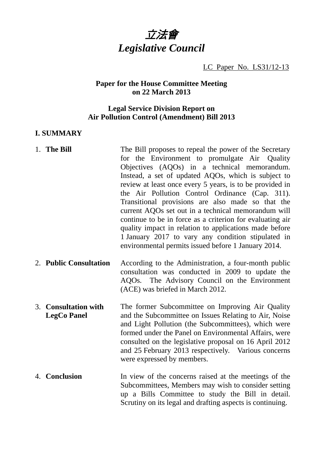

LC Paper No. LS31/12-13

## **Paper for the House Committee Meeting on 22 March 2013**

## **Legal Service Division Report on Air Pollution Control (Amendment) Bill 2013**

#### **I. SUMMARY**

| 1. The Bill                                | The Bill proposes to repeal the power of the Secretary<br>for the Environment to promulgate Air Quality<br>Objectives (AQOs) in a technical memorandum.<br>Instead, a set of updated AQOs, which is subject to<br>review at least once every 5 years, is to be provided in<br>the Air Pollution Control Ordinance (Cap. 311).<br>Transitional provisions are also made so that the<br>current AQOs set out in a technical memorandum will<br>continue to be in force as a criterion for evaluating air<br>quality impact in relation to applications made before<br>1 January 2017 to vary any condition stipulated in<br>environmental permits issued before 1 January 2014. |
|--------------------------------------------|-------------------------------------------------------------------------------------------------------------------------------------------------------------------------------------------------------------------------------------------------------------------------------------------------------------------------------------------------------------------------------------------------------------------------------------------------------------------------------------------------------------------------------------------------------------------------------------------------------------------------------------------------------------------------------|
| 2. Public Consultation                     | According to the Administration, a four-month public<br>consultation was conducted in 2009 to update the<br>AQOs. The Advisory Council on the Environment<br>(ACE) was briefed in March 2012.                                                                                                                                                                                                                                                                                                                                                                                                                                                                                 |
| 3. Consultation with<br><b>LegCo Panel</b> | The former Subcommittee on Improving Air Quality<br>and the Subcommittee on Issues Relating to Air, Noise<br>and Light Pollution (the Subcommittees), which were<br>formed under the Panel on Environmental Affairs, were<br>consulted on the legislative proposal on 16 April 2012<br>and 25 February 2013 respectively. Various concerns<br>were expressed by members.                                                                                                                                                                                                                                                                                                      |
| 4. Conclusion                              | In view of the concerns raised at the meetings of the<br>Subcommittees, Members may wish to consider setting<br>up a Bills Committee to study the Bill in detail.                                                                                                                                                                                                                                                                                                                                                                                                                                                                                                             |

Scrutiny on its legal and drafting aspects is continuing.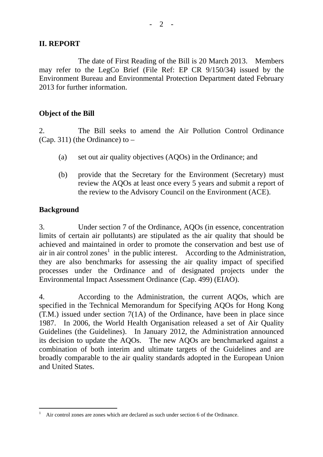### **II. REPORT**

The date of First Reading of the Bill is 20 March 2013. Members may refer to the LegCo Brief (File Ref: EP CR 9/150/34) issued by the Environment Bureau and Environmental Protection Department dated February 2013 for further information

#### **Object of the Bill**

2. The Bill seeks to amend the Air Pollution Control Ordinance (Cap. 311) (the Ordinance) to  $-$ 

- (a) set out air quality objectives (AQOs) in the Ordinance; and
- (b) provide that the Secretary for the Environment (Secretary) must review the AQOs at least once every 5 years and submit a report of the review to the Advisory Council on the Environment (ACE).

### **Background**

 $\overline{a}$ 

3. Under section 7 of the Ordinance, AQOs (in essence, concentration limits of certain air pollutants) are stipulated as the air quality that should be achieved and maintained in order to promote the conservation and best use of air in air control zones<sup>1</sup> in the public interest. According to the Administration, they are also benchmarks for assessing the air quality impact of specified processes under the Ordinance and of designated projects under the Environmental Impact Assessment Ordinance (Cap. 499) (EIAO).

4. According to the Administration, the current AQOs, which are specified in the Technical Memorandum for Specifying AQOs for Hong Kong (T.M.) issued under section 7(1A) of the Ordinance, have been in place since 1987. In 2006, the World Health Organisation released a set of Air Quality Guidelines (the Guidelines). In January 2012, the Administration announced its decision to update the AQOs. The new AQOs are benchmarked against a combination of both interim and ultimate targets of the Guidelines and are broadly comparable to the air quality standards adopted in the European Union and United States.

<sup>1</sup> Air control zones are zones which are declared as such under section 6 of the Ordinance.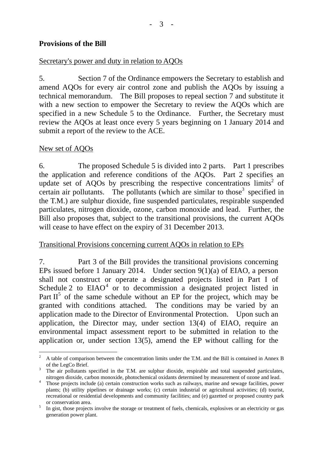### **Provisions of the Bill**

#### Secretary's power and duty in relation to AQOs

5. Section 7 of the Ordinance empowers the Secretary to establish and amend AQOs for every air control zone and publish the AQOs by issuing a technical memorandum. The Bill proposes to repeal section 7 and substitute it with a new section to empower the Secretary to review the AOOs which are specified in a new Schedule 5 to the Ordinance. Further, the Secretary must review the AQOs at least once every 5 years beginning on 1 January 2014 and submit a report of the review to the ACE.

#### New set of AQOs

 $\overline{a}$ 

6. The proposed Schedule 5 is divided into 2 parts. Part 1 prescribes the application and reference conditions of the AQOs. Part 2 specifies an update set of AQOs by prescribing the respective concentrations  $\text{limits}^2$  of certain air pollutants. The pollutants (which are similar to those<sup>3</sup> specified in the T.M.) are sulphur dioxide, fine suspended particulates, respirable suspended particulates, nitrogen dioxide, ozone, carbon monoxide and lead. Further, the Bill also proposes that, subject to the transitional provisions, the current AQOs will cease to have effect on the expiry of 31 December 2013.

#### Transitional Provisions concerning current AQOs in relation to EPs

7. Part 3 of the Bill provides the transitional provisions concerning EPs issued before 1 January 2014. Under section  $9(1)(a)$  of EIAO, a person shall not construct or operate a designated projects listed in Part I of Schedule 2 to  $EIAO<sup>4</sup>$  or to decommission a designated project listed in Part  $II<sup>5</sup>$  of the same schedule without an EP for the project, which may be granted with conditions attached. The conditions may be varied by an application made to the Director of Environmental Protection. Upon such an application, the Director may, under section 13(4) of EIAO, require an environmental impact assessment report to be submitted in relation to the application or, under section 13(5), amend the EP without calling for the

<sup>2</sup> A table of comparison between the concentration limits under the T.M. and the Bill is contained in Annex B of the LegCo Brief.

<sup>&</sup>lt;sup>3</sup> The air pollutants specified in the T.M. are sulphur dioxide, respirable and total suspended particulates, nitrogen dioxide, carbon monoxide, photochemical oxidants determined by measurement of ozone and lead.<br><sup>4</sup> Those projects include (a) certain construction works such as railways marine and sewage facilities, power

Those projects include (a) certain construction works such as railways, marine and sewage facilities, power plants; (b) utility pipelines or drainage works; (c) certain industrial or agricultural activities; (d) tourist, recreational or residential developments and community facilities; and (e) gazetted or proposed country park or conservation area.

In gist, those projects involve the storage or treatment of fuels, chemicals, explosives or an electricity or gas generation power plant.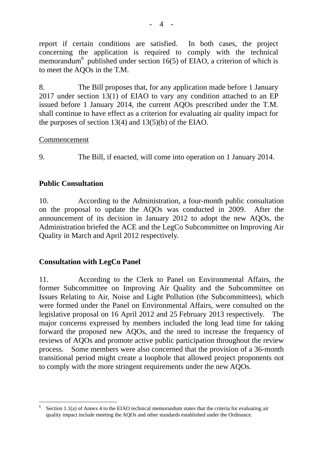report if certain conditions are satisfied. In both cases, the project concerning the application is required to comply with the technical memorandum<sup>6</sup> published under section 16(5) of EIAO, a criterion of which is to meet the AQOs in the T.M.

8. The Bill proposes that, for any application made before 1 January 2017 under section 13(1) of EIAO to vary any condition attached to an EP issued before 1 January 2014, the current AQOs prescribed under the T.M. shall continue to have effect as a criterion for evaluating air quality impact for the purposes of section 13(4) and 13(5)(b) of the EIAO.

#### Commencement

9. The Bill, if enacted, will come into operation on 1 January 2014.

### **Public Consultation**

10. According to the Administration, a four-month public consultation on the proposal to update the AQOs was conducted in 2009. After the announcement of its decision in January 2012 to adopt the new AQOs, the Administration briefed the ACE and the LegCo Subcommittee on Improving Air Quality in March and April 2012 respectively.

### **Consultation with LegCo Panel**

11. According to the Clerk to Panel on Environmental Affairs, the former Subcommittee on Improving Air Quality and the Subcommittee on Issues Relating to Air, Noise and Light Pollution (the Subcommittees), which were formed under the Panel on Environmental Affairs, were consulted on the legislative proposal on 16 April 2012 and 25 February 2013 respectively. The major concerns expressed by members included the long lead time for taking forward the proposed new AQOs, and the need to increase the frequency of reviews of AQOs and promote active public participation throughout the review process. Some members were also concerned that the provision of a 36-month transitional period might create a loophole that allowed project proponents not to comply with the more stringent requirements under the new AQOs.

 $\overline{a}$ 6 Section 1.1(a) of Annex 4 to the EIAO technical memorandum states that the criteria for evaluating air quality impact include meeting the AQOs and other standards established under the Ordinance.